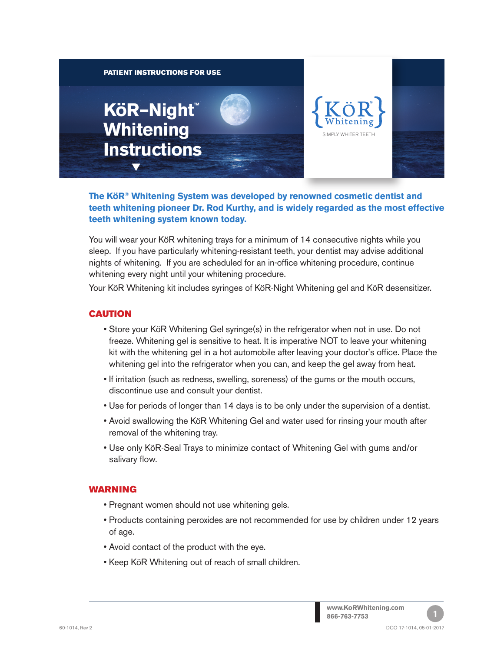

**The KöR® Whitening System was developed by renowned cosmetic dentist and teeth whitening pioneer Dr. Rod Kurthy, and is widely regarded as the most effective teeth whitening system known today.**

You will wear your KöR whitening trays for a minimum of 14 consecutive nights while you sleep. If you have particularly whitening-resistant teeth, your dentist may advise additional nights of whitening. If you are scheduled for an in-office whitening procedure, continue whitening every night until your whitening procedure.

Your KöR Whitening kit includes syringes of KöR-Night Whitening gel and KöR desensitizer.

### CAUTION

- Store your KöR Whitening Gel syringe(s) in the refrigerator when not in use. Do not freeze. Whitening gel is sensitive to heat. It is imperative NOT to leave your whitening kit with the whitening gel in a hot automobile after leaving your doctor's office. Place the whitening gel into the refrigerator when you can, and keep the gel away from heat.
- If irritation (such as redness, swelling, soreness) of the gums or the mouth occurs, discontinue use and consult your dentist.
- Use for periods of longer than 14 days is to be only under the supervision of a dentist.
- Avoid swallowing the KöR Whitening Gel and water used for rinsing your mouth after removal of the whitening tray.
- Use only KöR-Seal Trays to minimize contact of Whitening Gel with gums and/or salivary flow.

#### WARNING

- Pregnant women should not use whitening gels.
- Products containing peroxides are not recommended for use by children under 12 years of age.
- Avoid contact of the product with the eye.
- Keep KöR Whitening out of reach of small children.

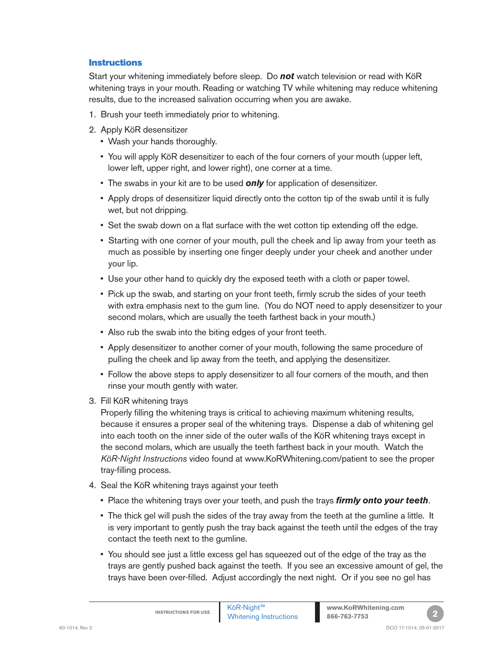### **Instructions**

Start your whitening immediately before sleep. Do *not* watch television or read with KöR whitening trays in your mouth. Reading or watching TV while whitening may reduce whitening results, due to the increased salivation occurring when you are awake.

- 1. Brush your teeth immediately prior to whitening.
- 2. Apply KöR desensitizer
	- Wash your hands thoroughly.
	- You will apply KöR desensitizer to each of the four corners of your mouth (upper left, lower left, upper right, and lower right), one corner at a time.
	- The swabs in your kit are to be used *only* for application of desensitizer.
	- Apply drops of desensitizer liquid directly onto the cotton tip of the swab until it is fully wet, but not dripping.
	- Set the swab down on a flat surface with the wet cotton tip extending off the edge.
	- Starting with one corner of your mouth, pull the cheek and lip away from your teeth as much as possible by inserting one finger deeply under your cheek and another under your lip.
	- Use your other hand to quickly dry the exposed teeth with a cloth or paper towel.
	- Pick up the swab, and starting on your front teeth, firmly scrub the sides of your teeth with extra emphasis next to the gum line. (You do NOT need to apply desensitizer to your second molars, which are usually the teeth farthest back in your mouth.)
	- Also rub the swab into the biting edges of your front teeth.
	- Apply desensitizer to another corner of your mouth, following the same procedure of pulling the cheek and lip away from the teeth, and applying the desensitizer.
	- Follow the above steps to apply desensitizer to all four corners of the mouth, and then rinse your mouth gently with water.
- 3. Fill KöR whitening trays

Properly filling the whitening trays is critical to achieving maximum whitening results, because it ensures a proper seal of the whitening trays. Dispense a dab of whitening gel into each tooth on the inner side of the outer walls of the KöR whitening trays except in the second molars, which are usually the teeth farthest back in your mouth. Watch the *KöR-Night Instructions* video found at www.KoRWhitening.com/patient to see the proper tray-filling process.

- 4. Seal the KöR whitening trays against your teeth
	- Place the whitening trays over your teeth, and push the trays *firmly onto your teeth*.
	- The thick gel will push the sides of the tray away from the teeth at the gumline a little. It is very important to gently push the tray back against the teeth until the edges of the tray contact the teeth next to the gumline.
	- You should see just a little excess gel has squeezed out of the edge of the tray as the trays are gently pushed back against the teeth. If you see an excessive amount of gel, the trays have been over-filled. Adjust accordingly the next night. Or if you see no gel has

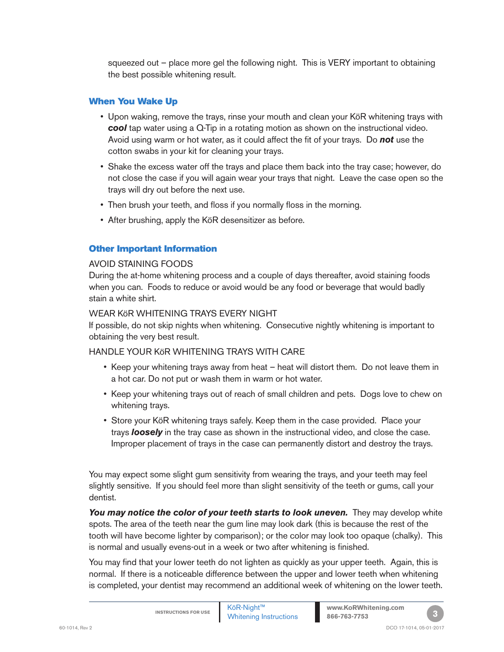squeezed out – place more gel the following night. This is VERY important to obtaining the best possible whitening result.

## When You Wake Up

- Upon waking, remove the trays, rinse your mouth and clean your KöR whitening trays with **cool** tap water using a Q-Tip in a rotating motion as shown on the instructional video. Avoid using warm or hot water, as it could affect the fit of your trays. Do *not* use the cotton swabs in your kit for cleaning your trays.
- Shake the excess water off the trays and place them back into the tray case; however, do not close the case if you will again wear your trays that night. Leave the case open so the trays will dry out before the next use.
- Then brush your teeth, and floss if you normally floss in the morning.
- After brushing, apply the KöR desensitizer as before.

# Other Important Information

### AVOID STAINING FOODS

During the at-home whitening process and a couple of days thereafter, avoid staining foods when you can. Foods to reduce or avoid would be any food or beverage that would badly stain a white shirt.

## WEAR KöR WHITENING TRAYS EVERY NIGHT

If possible, do not skip nights when whitening. Consecutive nightly whitening is important to obtaining the very best result.

# HANDLE YOUR KöR WHITENING TRAYS WITH CARE

- Keep your whitening trays away from heat heat will distort them. Do not leave them in a hot car. Do not put or wash them in warm or hot water.
- Keep your whitening trays out of reach of small children and pets. Dogs love to chew on whitening trays.
- Store your KöR whitening trays safely. Keep them in the case provided. Place your trays *loosely* in the tray case as shown in the instructional video, and close the case. Improper placement of trays in the case can permanently distort and destroy the trays.

You may expect some slight gum sensitivity from wearing the trays, and your teeth may feel slightly sensitive. If you should feel more than slight sensitivity of the teeth or gums, call your dentist.

You may notice the color of your teeth starts to look uneven. They may develop white spots. The area of the teeth near the gum line may look dark (this is because the rest of the tooth will have become lighter by comparison); or the color may look too opaque (chalky). This is normal and usually evens-out in a week or two after whitening is finished.

You may find that your lower teeth do not lighten as quickly as your upper teeth. Again, this is normal. If there is a noticeable difference between the upper and lower teeth when whitening is completed, your dentist may recommend an additional week of whitening on the lower teeth.